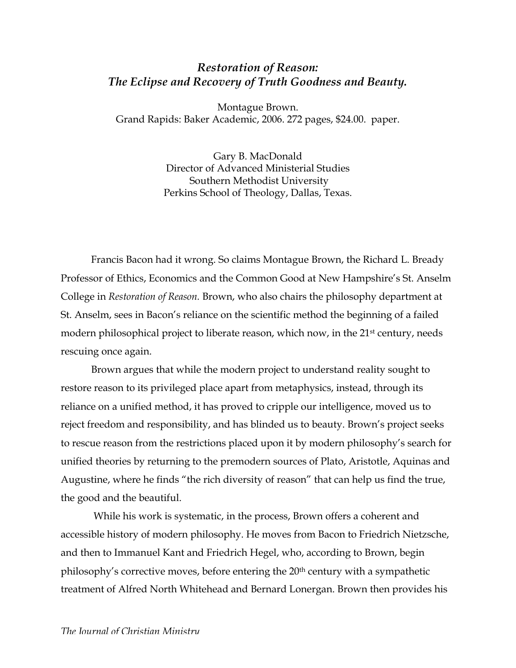## *Restoration of Reason: The Eclipse and Recovery of Truth Goodness and Beauty.*

Montague Brown. Grand Rapids: Baker Academic, 2006. 272 pages, \$24.00. paper.

> Gary B. MacDonald Director of Advanced Ministerial Studies Southern Methodist University Perkins School of Theology, Dallas, Texas.

Francis Bacon had it wrong. So claims Montague Brown, the Richard L. Bready Professor of Ethics, Economics and the Common Good at New Hampshire's St. Anselm College in *Restoration of Reason.* Brown, who also chairs the philosophy department at St. Anselm, sees in Bacon's reliance on the scientific method the beginning of a failed modern philosophical project to liberate reason, which now, in the 21<sup>st</sup> century, needs rescuing once again.

Brown argues that while the modern project to understand reality sought to restore reason to its privileged place apart from metaphysics, instead, through its reliance on a unified method, it has proved to cripple our intelligence, moved us to reject freedom and responsibility, and has blinded us to beauty. Brown's project seeks to rescue reason from the restrictions placed upon it by modern philosophy's search for unified theories by returning to the premodern sources of Plato, Aristotle, Aquinas and Augustine, where he finds "the rich diversity of reason" that can help us find the true, the good and the beautiful.

 While his work is systematic, in the process, Brown offers a coherent and accessible history of modern philosophy. He moves from Bacon to Friedrich Nietzsche, and then to Immanuel Kant and Friedrich Hegel, who, according to Brown, begin philosophy's corrective moves, before entering the 20<sup>th</sup> century with a sympathetic treatment of Alfred North Whitehead and Bernard Lonergan. Brown then provides his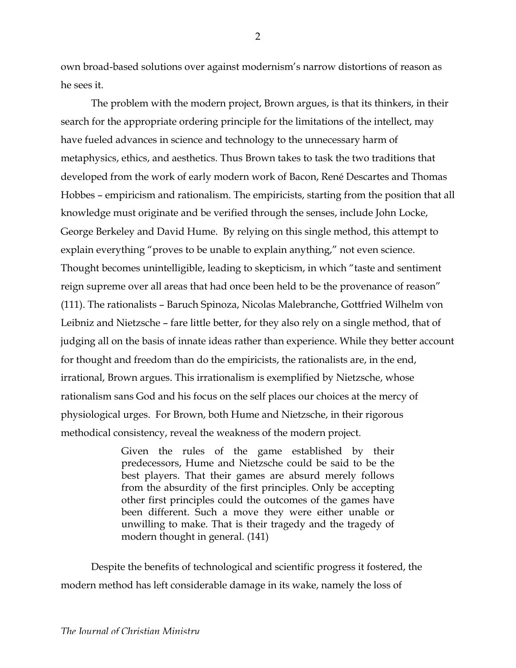own broad-based solutions over against modernism's narrow distortions of reason as he sees it.

The problem with the modern project, Brown argues, is that its thinkers, in their search for the appropriate ordering principle for the limitations of the intellect, may have fueled advances in science and technology to the unnecessary harm of metaphysics, ethics, and aesthetics. Thus Brown takes to task the two traditions that developed from the work of early modern work of Bacon, René Descartes and Thomas Hobbes – empiricism and rationalism. The empiricists, starting from the position that all knowledge must originate and be verified through the senses, include John Locke, George Berkeley and David Hume. By relying on this single method, this attempt to explain everything "proves to be unable to explain anything," not even science. Thought becomes unintelligible, leading to skepticism, in which "taste and sentiment reign supreme over all areas that had once been held to be the provenance of reason" (111). The rationalists – Baruch Spinoza, Nicolas Malebranche, Gottfried Wilhelm von Leibniz and Nietzsche – fare little better, for they also rely on a single method, that of judging all on the basis of innate ideas rather than experience. While they better account for thought and freedom than do the empiricists, the rationalists are, in the end, irrational, Brown argues. This irrationalism is exemplified by Nietzsche, whose rationalism sans God and his focus on the self places our choices at the mercy of physiological urges. For Brown, both Hume and Nietzsche, in their rigorous methodical consistency, reveal the weakness of the modern project.

> Given the rules of the game established by their predecessors, Hume and Nietzsche could be said to be the best players. That their games are absurd merely follows from the absurdity of the first principles. Only be accepting other first principles could the outcomes of the games have been different. Such a move they were either unable or unwilling to make. That is their tragedy and the tragedy of modern thought in general. (141)

Despite the benefits of technological and scientific progress it fostered, the modern method has left considerable damage in its wake, namely the loss of

2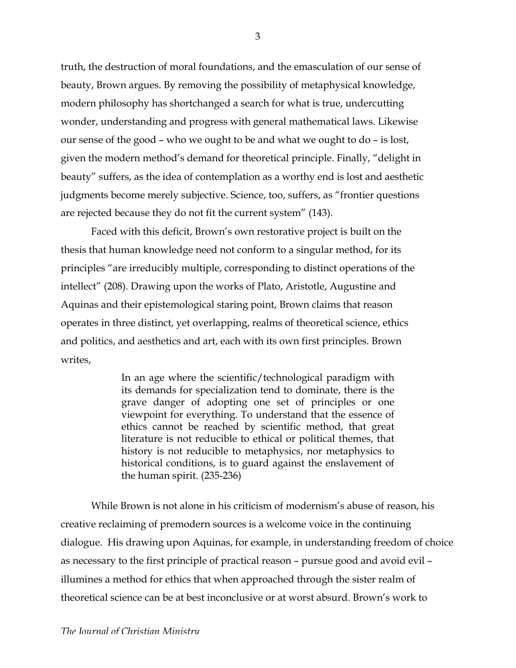truth, the destruction of moral foundations, and the emasculation of our sense of beauty, Brown argues. By removing the possibility of metaphysical knowledge, modern philosophy has shortchanged a search for what is true, undercutting wonder, understanding and progress with general mathematical laws. Likewise our sense of the good – who we ought to be and what we ought to do – is lost, given the modern method's demand for theoretical principle. Finally, "delight in beauty" suffers, as the idea of contemplation as a worthy end is lost and aesthetic judgments become merely subjective. Science, too, suffers, as "frontier questions are rejected because they do not fit the current system" (143).

Faced with this deficit, Brown's own restorative project is built on the thesis that human knowledge need not conform to a singular method, for its principles "are irreducibly multiple, corresponding to distinct operations of the intellect" (208). Drawing upon the works of Plato, Aristotle, Augustine and Aquinas and their epistemological staring point, Brown claims that reason operates in three distinct, yet overlapping, realms of theoretical science, ethics and politics, and aesthetics and art, each with its own first principles. Brown writes,

> In an age where the scientific/technological paradigm with its demands for specialization tend to dominate, there is the grave danger of adopting one set of principles or one viewpoint for everything. To understand that the essence of ethics cannot be reached by scientific method, that great literature is not reducible to ethical or political themes, that history is not reducible to metaphysics, nor metaphysics to historical conditions, is to guard against the enslavement of the human spirit. (235-236)

While Brown is not alone in his criticism of modernism's abuse of reason, his creative reclaiming of premodern sources is a welcome voice in the continuing dialogue. His drawing upon Aquinas, for example, in understanding freedom of choice as necessary to the first principle of practical reason – pursue good and avoid evil – illumines a method for ethics that when approached through the sister realm of theoretical science can be at best inconclusive or at worst absurd. Brown's work to